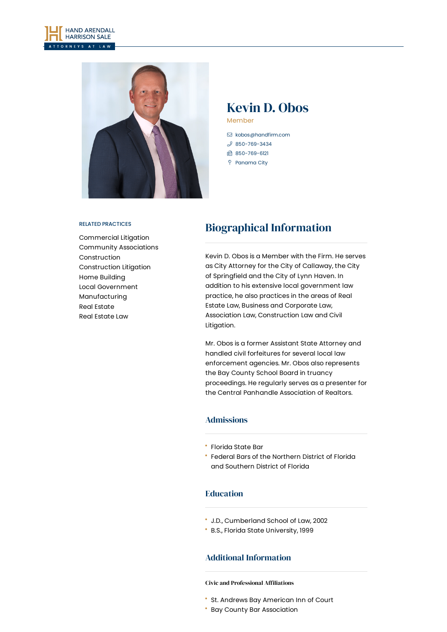



## Kevin D. Obos Member

- [kobos@handfirm.com](mailto:kobos@handfirm.com)
- $$850 769 3434$ ■ 850-769-6121
- Panama City
- 

#### RELATED PRACTICES

[Commercial](https://www.handfirm.com/practices/litigation/commercial-litigation/) Litigation Community [Associations](https://www.handfirm.com/practices/industries/community-associations/) [Construction](https://www.handfirm.com/practices/industries/construction/) [Construction](https://www.handfirm.com/practices/litigation/construction-litigation/) Litigation Home [Building](https://www.handfirm.com/practices/industries/home-building/) Local [Government](https://www.handfirm.com/practices/business-services/local-government/) [Manufacturing](https://www.handfirm.com/practices/industries/manufacturing/) Real [Estate](https://www.handfirm.com/practices/industries/real-estate/) Real [Estate](https://www.handfirm.com/practices/business-services/real-estate-law/) Law

# Biographical Information

Kevin D. Obos is a Member with the Firm. He serves as City Attorney for the City of Callaway, the City of Springfield and the City of Lynn Haven. In addition to his extensive local government law practice, he also practices in the areas of Real Estate Law, Business and Corporate Law, Association Law, Construction Law and Civil Litigation.

Mr. Obos is a former Assistant State Attorney and handled civil forfeitures for several local law enforcement agencies. Mr. Obos also represents the Bay County School Board in truancy proceedings. He regularly serves as a presenter for the Central Panhandle Association of Realtors.

### Admissions

- Florida State Bar
- Federal Bars of the Northern District of Florida and Southern District of Florida

### Education

- J.D., Cumberland School of Law, 2002
- B.S., Florida State University, 1999

## Additional Information

#### **Civic and Professional Affiliations**

- St. Andrews Bay American Inn of Court
- Bay County Bar Association